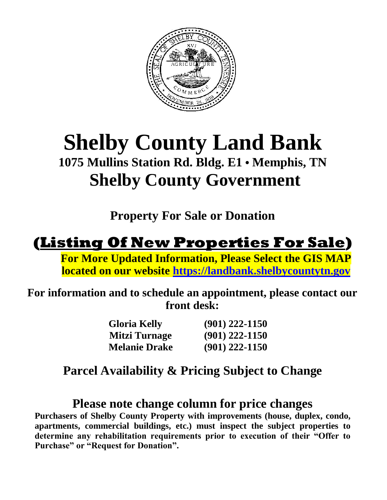

## **Shelby County Land Bank 1075 Mullins Station Rd. Bldg. E1 • Memphis, TN Shelby County Government**

**Property For Sale or Donation**

## **(Listing Of New Properties For Sale)**

**For More Updated Information, Please Select the GIS MAP located on our website [https://landbank.shelbycountytn.gov](https://landbank.shelbycountytn.gov/)**

**For information and to schedule an appointment, please contact our front desk:**

| <b>Gloria Kelly</b>  | $(901)$ 222-1150 |
|----------------------|------------------|
| Mitzi Turnage        | $(901)$ 222-1150 |
| <b>Melanie Drake</b> | $(901)$ 222-1150 |

#### **Parcel Availability & Pricing Subject to Change**

#### **Please note change column for price changes**

**Purchasers of Shelby County Property with improvements (house, duplex, condo, apartments, commercial buildings, etc.) must inspect the subject properties to determine any rehabilitation requirements prior to execution of their "Offer to Purchase" or "Request for Donation".**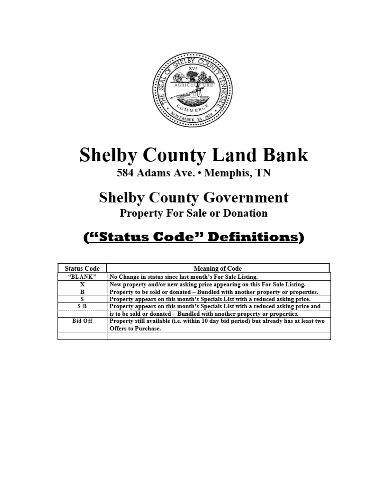

## **Shelby County Land Bank** 584 Adams Ave. . Memphis, TN

# **Shelby County Government**

#### **Property For Sale or Donation**

### ("Status Code" Definitions)

| <b>Status Code</b> | <b>Meaning of Code</b>                                                                |
|--------------------|---------------------------------------------------------------------------------------|
| "BLANK"            | No Change in status since last month's For Sale Listing.                              |
| х                  | New property and/or new asking price appearing on this For Sale Listing.              |
| B                  | Property to be sold or donated - Bundled with another property or properties.         |
| s                  | Property appears on this month's Specials List with a reduced asking price.           |
| S-B                | Property appears on this month's Specials List with a reduced asking price and        |
|                    | is to be sold or donated - Bundled with another property or properties.               |
| <b>Bid Off</b>     | Property still available (i.e. within 10 day bid period) but already has at least two |
|                    | Offers to Purchase.                                                                   |
|                    |                                                                                       |